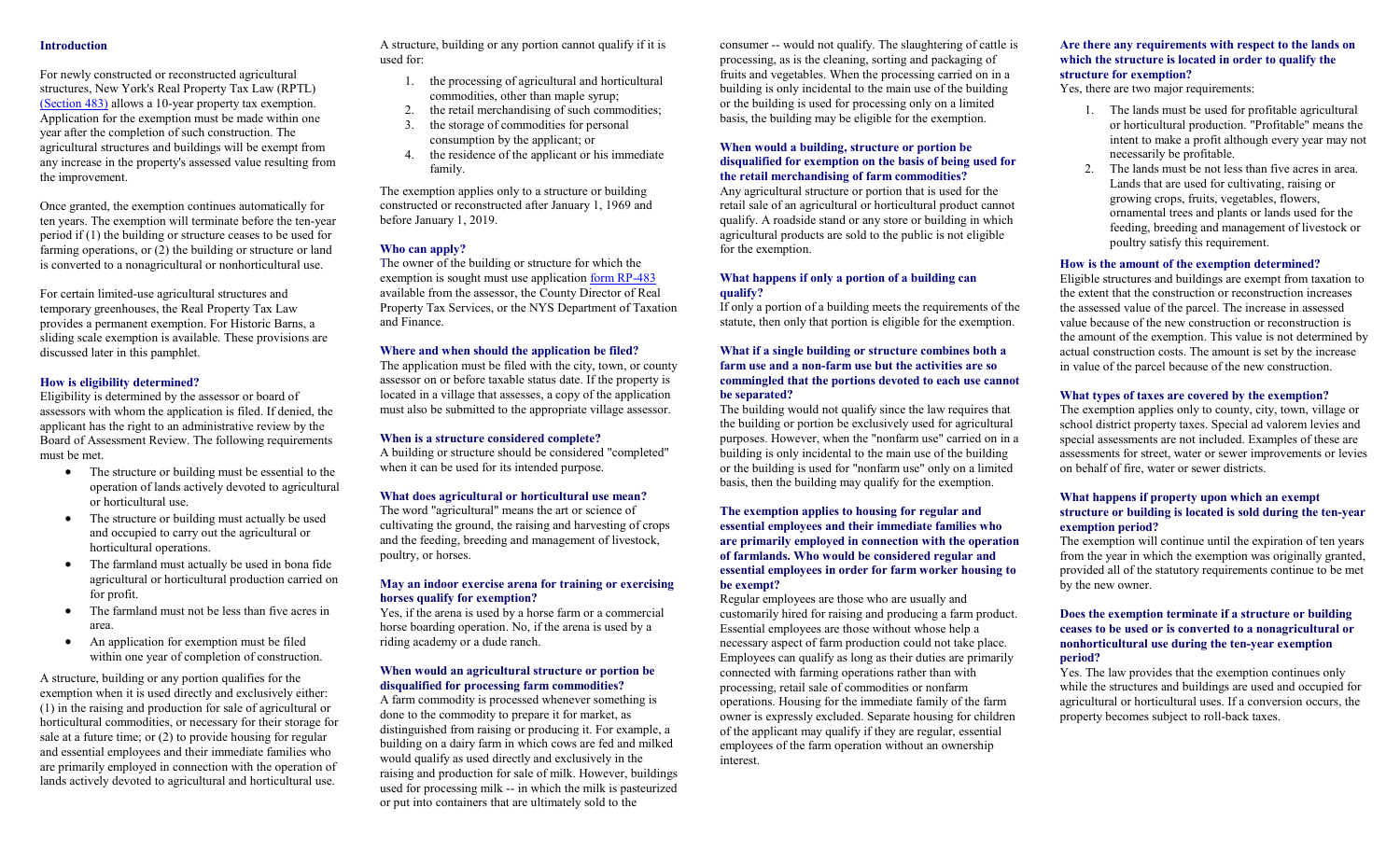#### **Introduction**

For newly constructed or reconstructed agricultural structures, New York's Real Property Tax Law (RPTL) [\(Section 483\)](http://www.tax.ny.gov/research/property/assess/manuals/vol4/pt2/sec4_08/sec483.htm) allows a 10-year property tax exemption. Application for the exemption must be made within one year after the completion of such construction. The agricultural structures and buildings will be exempt from any increase in the property's assessed value resulting from the improvement.

Once granted, the exemption continues automatically for ten years. The exemption will terminate before the ten-year period if (1) the building or structure ceases to be used for farming operations, or (2) the building or structure or land is converted to a nonagricultural or nonhorticultural use.

For certain limited-use agricultural structures and temporary greenhouses, the Real Property Tax Law provides a permanent exemption. For Historic Barns, a sliding scale exemption is available. These provisions are discussed later in this pamphlet.

#### **How is eligibility determined?**

Eligibility is determined by the assessor or board of assessors with whom the application is filed. If denied, the applicant has the right to an administrative review by the Board of Assessment Review. The following requirements must be met.

- The structure or building must be essential to the operation of lands actively devoted to agricultural or horticultural use.
- The structure or building must actually be used and occupied to carry out the agricultural or horticultural operations.
- The farmland must actually be used in bona fide agricultural or horticultural production carried on for profit.
- The farmland must not be less than five acres in area.
- An application for exemption must be filed within one year of completion of construction.

A structure, building or any portion qualifies for the exemption when it is used directly and exclusively either: (1) in the raising and production for sale of agricultural or horticultural commodities, or necessary for their storage for sale at a future time; or (2) to provide housing for regular and essential employees and their immediate families who are primarily employed in connection with the operation of lands actively devoted to agricultural and horticultural use.

A structure, building or any portion cannot qualify if it is used for:

- 1. the processing of agricultural and horticultural commodities, other than maple syrup;
- 2. the retail merchandising of such commodities;
- 3. the storage of commodities for personal consumption by the applicant; or
- 4. the residence of the applicant or his immediate family.

The exemption applies only to a structure or building constructed or reconstructed after January 1, 1969 and before January 1, 2019.

#### **Who can apply?**

The owner of the building or structure for which the exemption is sought must use application [form RP-483](http://www.tax.ny.gov/pdf/current_forms/orpts/rp483_fill_in.pdf) available from the assessor, the County Director of Real Property Tax Services, or the NYS Department of Taxation and Finance.

#### **Where and when should the application be filed?**

The application must be filed with the city, town, or county assessor on or before taxable status date. If the property is located in a village that assesses, a copy of the application must also be submitted to the appropriate village assessor.

#### **When is a structure considered complete?**

A building or structure should be considered "completed" when it can be used for its intended purpose.

#### **What does agricultural or horticultural use mean?**

The word "agricultural" means the art or science of cultivating the ground, the raising and harvesting of crops and the feeding, breeding and management of livestock, poultry, or horses.

#### **May an indoor exercise arena for training or exercising horses qualify for exemption?**

Yes, if the arena is used by a horse farm or a commercial horse boarding operation. No, if the arena is used by a riding academy or a dude ranch.

#### **When would an agricultural structure or portion be disqualified for processing farm commodities?**

A farm commodity is processed whenever something is done to the commodity to prepare it for market, as distinguished from raising or producing it. For example, a building on a dairy farm in which cows are fed and milked would qualify as used directly and exclusively in the raising and production for sale of milk. However, buildings used for processing milk -- in which the milk is pasteurized or put into containers that are ultimately sold to the

consumer -- would not qualify. The slaughtering of cattle is processing, as is the cleaning, sorting and packaging of fruits and vegetables. When the processing carried on in a building is only incidental to the main use of the building or the building is used for processing only on a limited basis, the building may be eligible for the exemption.

#### **When would a building, structure or portion be disqualified for exemption on the basis of being used for the retail merchandising of farm commodities?**

Any agricultural structure or portion that is used for the retail sale of an agricultural or horticultural product cannot qualify. A roadside stand or any store or building in which agricultural products are sold to the public is not eligible for the exemption.

#### **What happens if only a portion of a building can qualify?**

If only a portion of a building meets the requirements of the statute, then only that portion is eligible for the exemption.

#### **What if a single building or structure combines both a farm use and a non-farm use but the activities are so commingled that the portions devoted to each use cannot be separated?**

The building would not qualify since the law requires that the building or portion be exclusively used for agricultural purposes. However, when the "nonfarm use" carried on in a building is only incidental to the main use of the building or the building is used for "nonfarm use" only on a limited basis, then the building may qualify for the exemption.

#### **The exemption applies to housing for regular and essential employees and their immediate families who are primarily employed in connection with the operation of farmlands. Who would be considered regular and essential employees in order for farm worker housing to be exempt?**

Regular employees are those who are usually and customarily hired for raising and producing a farm product. Essential employees are those without whose help a necessary aspect of farm production could not take place. Employees can qualify as long as their duties are primarily connected with farming operations rather than with processing, retail sale of commodities or nonfarm operations. Housing for the immediate family of the farm owner is expressly excluded. Separate housing for children of the applicant may qualify if they are regular, essential employees of the farm operation without an ownership interest.

#### **Are there any requirements with respect to the lands on which the structure is located in order to qualify the structure for exemption?**

Yes, there are two major requirements:

- 1. The lands must be used for profitable agricultural or horticultural production. "Profitable" means the intent to make a profit although every year may not necessarily be profitable.
- 2. The lands must be not less than five acres in area. Lands that are used for cultivating, raising or growing crops, fruits, vegetables, flowers, ornamental trees and plants or lands used for the feeding, breeding and management of livestock or poultry satisfy this requirement.

#### **How is the amount of the exemption determined?**

Eligible structures and buildings are exempt from taxation to the extent that the construction or reconstruction increases the assessed value of the parcel. The increase in assessed value because of the new construction or reconstruction is the amount of the exemption. This value is not determined by actual construction costs. The amount is set by the increase in value of the parcel because of the new construction.

#### **What types of taxes are covered by the exemption?**

The exemption applies only to county, city, town, village or school district property taxes. Special ad valorem levies and special assessments are not included. Examples of these are assessments for street, water or sewer improvements or levies on behalf of fire, water or sewer districts.

#### **What happens if property upon which an exempt structure or building is located is sold during the ten-year exemption period?**

The exemption will continue until the expiration of ten years from the year in which the exemption was originally granted, provided all of the statutory requirements continue to be met by the new owner.

#### **Does the exemption terminate if a structure or building ceases to be used or is converted to a nonagricultural or nonhorticultural use during the ten-year exemption period?**

Yes. The law provides that the exemption continues only while the structures and buildings are used and occupied for agricultural or horticultural uses. If a conversion occurs, the property becomes subject to roll-back taxes.